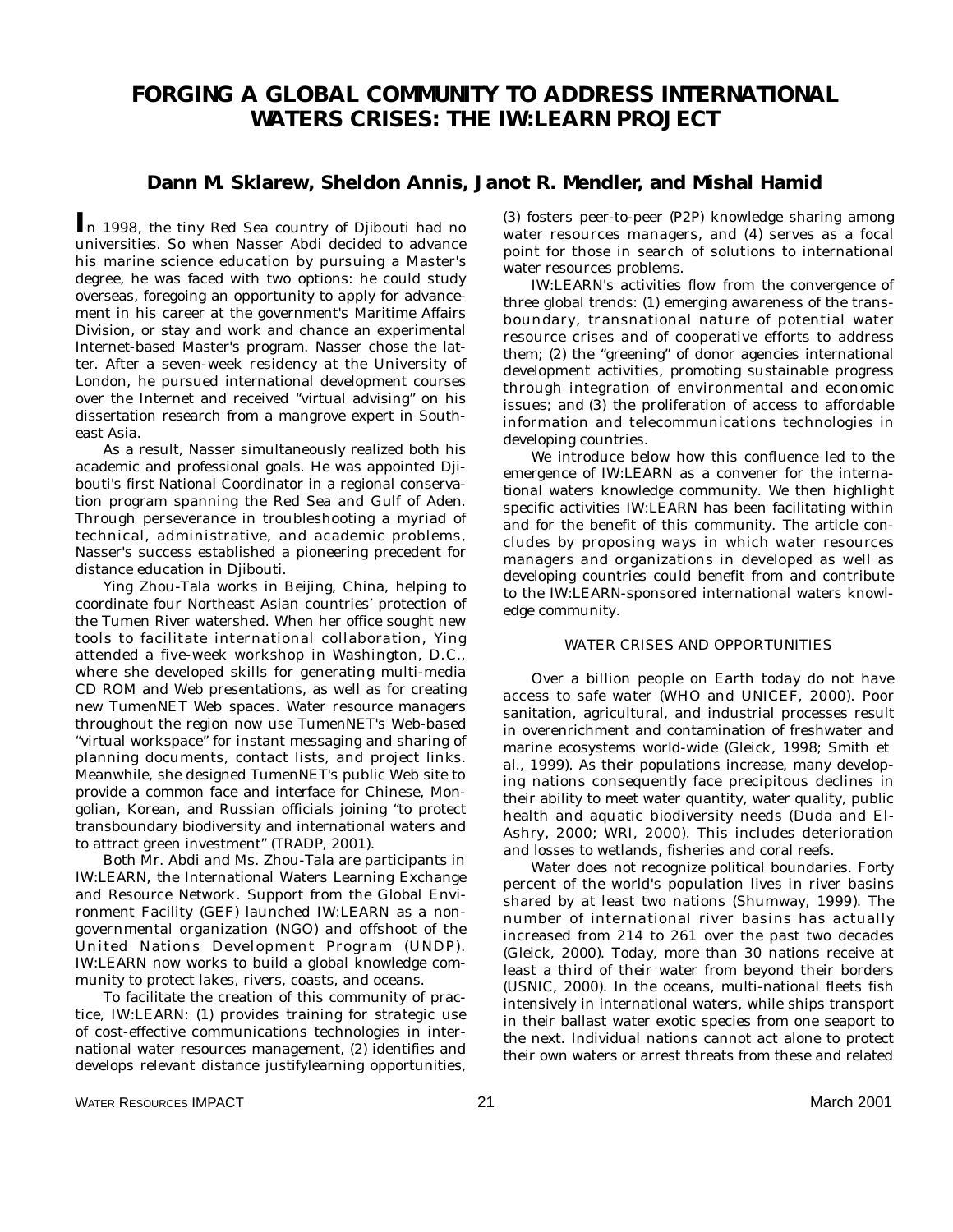# **FORGING A GLOBAL COMMUNITY TO ADDRESS INTERNATIONAL WATERS CRISES: THE IW:LEARN PROJECT**

# **Dann M. Sklarew, Sheldon Annis, Janot R. Mendler, and Mishal Hamid**

**I**n 1998, the tiny Red Sea country of Djibouti had no universities. So when Nasser Abdi decided to advance his marine science education by pursuing a Master's degree, he was faced with two options: he could study overseas, foregoing an opportunity to apply for advancement in his career at the government's Maritime Affairs Division, or stay and work and chance an experimental Internet-based Master's program. Nasser chose the latter. After a seven-week residency at the University of London, he pursued international development courses over the Internet and received "virtual advising" on his dissertation research from a mangrove expert in Southeast Asia.

As a result, Nasser simultaneously realized both his academic and professional goals. He was appointed Djibouti's first National Coordinator in a regional conservation program spanning the Red Sea and Gulf of Aden. Through perseverance in troubleshooting a myriad of technical, administrative, and academic problems, Nasser's success established a pioneering precedent for distance education in Djibouti.

Ying Zhou-Tala works in Beijing, China, helping to coordinate four Northeast Asian countries' protection of the Tumen River watershed. When her office sought new tools to facilitate international collaboration, Ying attended a five-week workshop in Washington, D.C., where she developed skills for generating multi-media CD ROM and Web presentations, as well as for creating new TumenNET Web spaces. Water resource managers throughout the region now use TumenNET's Web-based "virtual workspace" for instant messaging and sharing of planning documents, contact lists, and project links. Meanwhile, she designed TumenNET's public Web site to provide a common face and interface for Chinese, Mongolian, Korean, and Russian officials joining "to protect transboundary biodiversity and international waters and to attract green investment" (TRADP, 2001).

Both Mr. Abdi and Ms. Zhou-Tala are participants in IW:LEARN, the International Waters Learning Exchange and Resource Network. Support from the Global Environment Facility (GEF) launched IW:LEARN as a nongovernmental organization (NGO) and offshoot of the United Nations Development Program (UNDP). IW:LEARN now works to build a global knowledge community to protect lakes, rivers, coasts, and oceans.

To facilitate the creation of this community of practice, IW:LEARN: (1) provides training for strategic use of cost-effective communications technologies in international water resources management, (2) identifies and develops relevant distance justifylearning opportunities,

(3) fosters peer-to-peer (P2P) knowledge sharing among water resources managers, and  $(4)$  serves as a focal point for those in search of solutions to international water resources problems.

IW:LEARN's activities flow from the convergence of three global trends: (1) emerging awareness of the transboundary, transnational nature of potential water resource crises and of cooperative efforts to address them; (2) the "greening" of donor agencies international development activities, promoting sustainable progress through integration of environmental and economic issues; and (3) the proliferation of access to affordable information and telecommunications technologies in developing countries.

We introduce below how this confluence led to the emergence of IW:LEARN as a convener for the international waters knowledge community. We then highlight specific activities IW:LEARN has been facilitating within and for the benefit of this community. The article concludes by proposing ways in which water resources managers and organizations in developed as well as developing countries could benefit from and contribute to the IW:LEARN-sponsored international waters knowledge community.

#### WATER CRISES AND OPPORTUNITIES

Over a billion people on Earth today do not have access to safe water (WHO and UNICEF, 2000). Poor sanitation, agricultural, and industrial processes result in overenrichment and contamination of freshwater and marine ecosystems world-wide (Gleick, 1998; Smith *et al.,* 1999). As their populations increase, many developing nations consequently face precipitous declines in their ability to meet water quantity, water quality, public health and aquatic biodiversity needs (Duda and El-Ashry, 2000; WRI, 2000). This includes deterioration and losses to wetlands, fisheries and coral reefs.

Water does not recognize political boundaries. Forty percent of the world's population lives in river basins shared by at least two nations (Shumway, 1999). The number of international river basins has actually increased from 214 to 261 over the past two decades (Gleick, 2000). Today, more than 30 nations receive at least a third of their water from beyond their borders (USNIC, 2000). In the oceans, multi-national fleets fish intensively in international waters, while ships transport in their ballast water exotic species from one seaport to the next. Individual nations cannot act alone to protect their own waters or arrest threats from these and related

### WATER RESOURCES IMPACT **21** March 2001 **March 2001**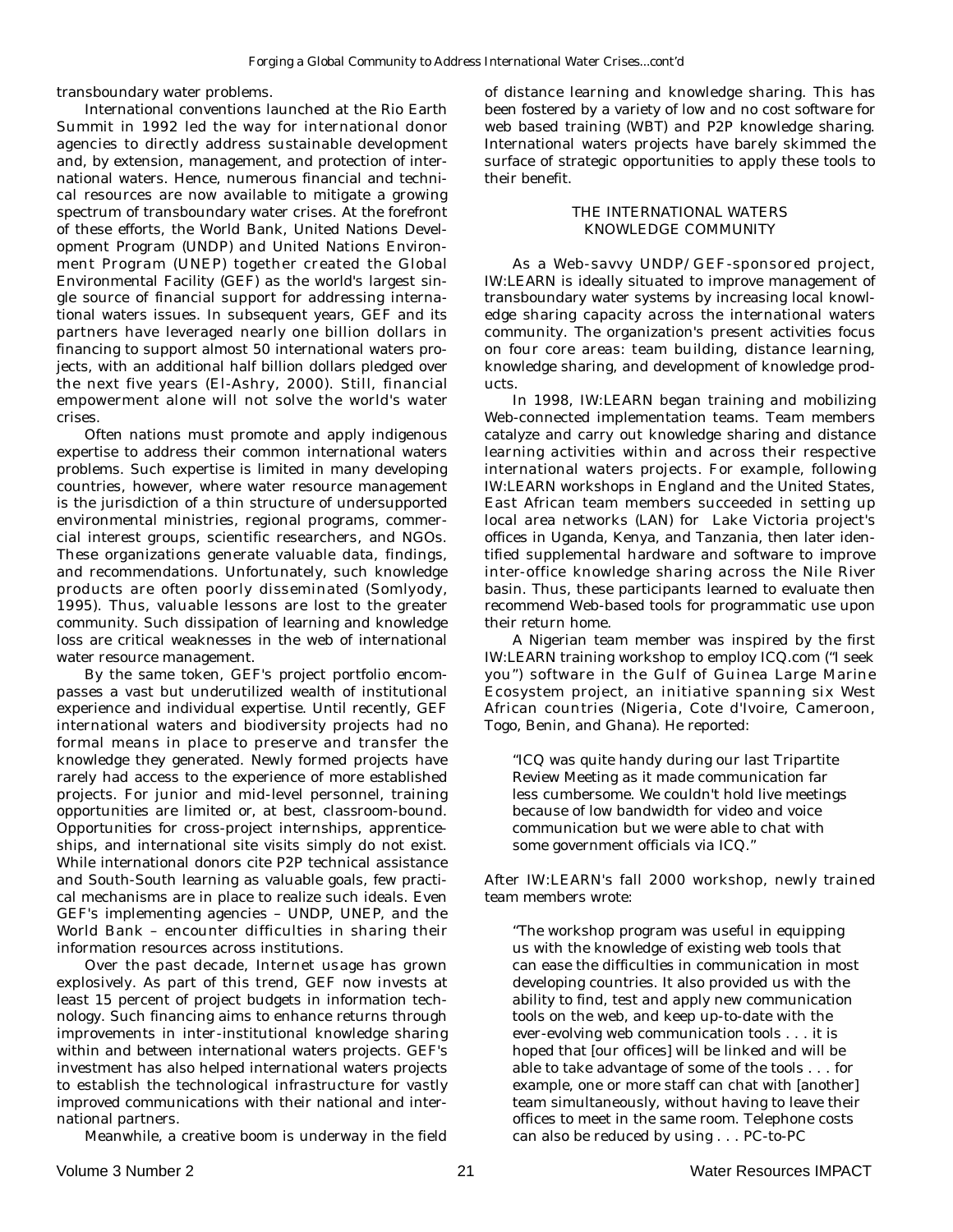transboundary water problems.

International conventions launched at the Rio Earth Summit in 1992 led the way for international donor agencies to directly address sustainable development and, by extension, management, and protection of international waters. Hence, numerous financial and technical resources are now available to mitigate a growing spectrum of transboundary water crises. At the forefront of these efforts, the World Bank, United Nations Development Program (UNDP) and United Nations Environment Program (UNEP) together created the Global Environmental Facility (GEF) as the world's largest single source of financial support for addressing international waters issues. In subsequent years, GEF and its partners have leveraged nearly one billion dollars in financing to support almost 50 international waters projects, with an additional half billion dollars pledged over the next five years (El-Ashry, 2000). Still, financial empowerment alone will not solve the world's water crises.

Often nations must promote and apply indigenous expertise to address their common international waters problems. Such expertise is limited in many developing countries, however, where water resource management is the jurisdiction of a thin structure of undersupported environmental ministries, regional programs, commercial interest groups, scientific researchers, and NGOs. These organizations generate valuable data, findings, and recommendations. Unfortunately, such knowledge products are often poorly disseminated (Somlyody, 1995). Thus, valuable lessons are lost to the greater community. Such dissipation of learning and knowledge loss are critical weaknesses in the web of international water resource management.

By the same token, GEF's project portfolio encompasses a vast but underutilized wealth of institutional experience and individual expertise. Until recently, GEF international waters and biodiversity projects had no formal means in place to preserve and transfer the knowledge they generated. Newly formed projects have rarely had access to the experience of more established projects. For junior and mid-level personnel, training opportunities are limited or, at best, classroom-bound. Opportunities for cross-project internships, apprenticeships, and international site visits simply do not exist. While international donors cite P2P technical assistance and South-South learning as valuable goals, few practical mechanisms are in place to realize such ideals. Even GEF's implementing agencies – UNDP, UNEP, and the World Bank – encounter difficulties in sharing their information resources across institutions.

Over the past decade, Internet usage has grown explosively. As part of this trend, GEF now invests at least 15 percent of project budgets in information technology. Such financing aims to enhance returns through improvements in inter-institutional knowledge sharing within and between international waters projects. GEF's investment has also helped international waters projects to establish the technological infrastructure for vastly improved communications with their national and international partners.

Meanwhile, a creative boom is underway in the field

of distance learning and knowledge sharing. This has been fostered by a variety of low and no cost software for web based training (WBT) and P2P knowledge sharing. International waters projects have barely skimmed the surface of strategic opportunities to apply these tools to their benefit.

## THE INTERNATIONAL WATERS KNOWLEDGE COMMUNITY

As a Web-savvy UNDP/GEF-sponsored project, IW:LEARN is ideally situated to improve management of transboundary water systems by increasing local knowledge sharing capacity across the international waters community. The organization's present activities focus on four core areas: team building, distance learning, knowledge sharing, and development of knowledge products.

In 1998, IW:LEARN began training and mobilizing Web-connected implementation teams. Team members catalyze and carry out knowledge sharing and distance learning activities within and across their respective international waters projects. For example, following IW:LEARN workshops in England and the United States, East African team members succeeded in setting up local area networks (LAN) for Lake Victoria project's offices in Uganda, Kenya, and Tanzania, then later identified supplemental hardware and software to improve inter-office knowledge sharing across the Nile River basin. Thus, these participants learned to evaluate then recommend Web-based tools for programmatic use upon their return home.

A Nigerian team member was inspired by the first IW:LEARN training workshop to employ ICQ.com ("I seek you") software in the Gulf of Guinea Large Marine Ecosystem project, an initiative spanning six West African countries (Nigeria, Cote d'Ivoire, Cameroon, Togo, Benin, and Ghana). He reported:

"ICQ was quite handy during our last Tripartite Review Meeting as it made communication far less cumbersome. We couldn't hold live meetings because of low bandwidth for video and voice communication but we were able to chat with some government officials via ICQ."

After IW:LEARN's fall 2000 workshop, newly trained team members wrote:

"The workshop program was useful in equipping us with the knowledge of existing web tools that can ease the difficulties in communication in most developing countries. It also provided us with the ability to find, test and apply new communication tools on the web, and keep up-to-date with the ever-evolving web communication tools . . . it is hoped that [our offices] will be linked and will be able to take advantage of some of the tools . . . for example, one or more staff can chat with [another] team simultaneously, without having to leave their offices to meet in the same room. Telephone costs can also be reduced by using . . . PC-to-PC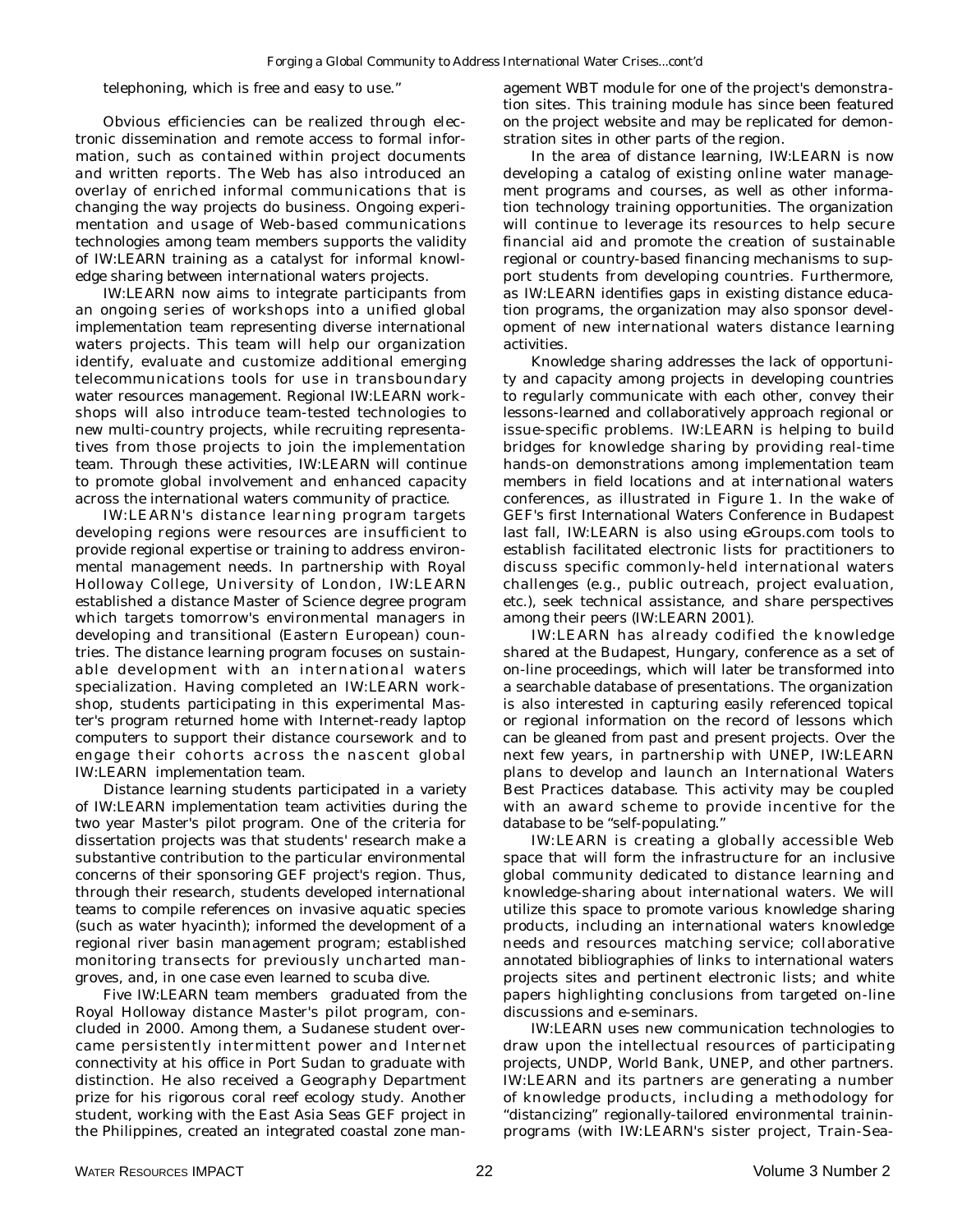telephoning, which is free and easy to use."

Obvious efficiencies can be realized through electronic dissemination and remote access to formal information, such as contained within project documents and written reports. The Web has also introduced an overlay of enriched informal communications that is changing the way projects do business. Ongoing experimentation and usage of Web-based communications technologies among team members supports the validity of IW:LEARN training as a catalyst for informal knowledge sharing between international waters projects.

IW:LEARN now aims to integrate participants from an ongoing series of workshops into a unified global implementation team representing diverse international waters projects. This team will help our organization identify, evaluate and customize additional emerging telecommunications tools for use in transboundary water resources management. Regional IW:LEARN workshops will also introduce team-tested technologies to new multi-country projects, while recruiting representatives from those projects to join the implementation team. Through these activities, IW:LEARN will continue to promote global involvement and enhanced capacity across the international waters community of practice.

IW:LEARN's distance learning program targets developing regions were resources are insufficient to provide regional expertise or training to address environmental management needs. In partnership with Royal Holloway College, University of London, IW:LEARN established a distance Master of Science degree program which targets tomorrow's environmental managers in developing and transitional (Eastern European) countries. The distance learning program focuses on sustainable development with an international waters specialization. Having completed an IW:LEARN workshop, students participating in this experimental Master's program returned home with Internet-ready laptop computers to support their distance coursework and to engage their cohorts across the nascent global IW:LEARN implementation team.

Distance learning students participated in a variety of IW:LEARN implementation team activities during the two year Master's pilot program. One of the criteria for dissertation projects was that students' research make a substantive contribution to the particular environmental concerns of their sponsoring GEF project's region. Thus, through their research, students developed international teams to compile references on invasive aquatic species (such as water hyacinth); informed the development of a regional river basin management program; established monitoring transects for previously uncharted mangroves, and, in one case even learned to scuba dive.

Five IW:LEARN team members graduated from the Royal Holloway distance Master's pilot program, concluded in 2000. Among them, a Sudanese student overcame persistently intermittent power and Internet connectivity at his office in Port Sudan to graduate with distinction. He also received a Geography Department prize for his rigorous coral reef ecology study. Another student, working with the East Asia Seas GEF project in the Philippines, created an integrated coastal zone management WBT module for one of the project's demonstration sites. This training module has since been featured on the project website and may be replicated for demonstration sites in other parts of the region.

In the area of distance learning, IW:LEARN is now developing a catalog of existing online water management programs and courses, as well as other information technology training opportunities. The organization will continue to leverage its resources to help secure financial aid and promote the creation of sustainable regional or country-based financing mechanisms to support students from developing countries. Furthermore, as IW:LEARN identifies gaps in existing distance education programs, the organization may also sponsor development of new international waters distance learning activities.

Knowledge sharing addresses the lack of opportunity and capacity among projects in developing countries to regularly communicate with each other, convey their lessons-learned and collaboratively approach regional or issue-specific problems. IW:LEARN is helping to build bridges for knowledge sharing by providing real-time hands-on demonstrations among implementation team members in field locations and at international waters conferences, as illustrated in Figure 1. In the wake of GEF's first International Waters Conference in Budapest last fall, IW:LEARN is also using eGroups.com tools to establish facilitated electronic lists for practitioners to discuss specific commonly-held international waters challenges (e.g., public outreach, project evaluation, etc.), seek technical assistance, and share perspectives among their peers (IW:LEARN 2001).

IW:LEARN has already codified the knowledge shared at the Budapest, Hungary, conference as a set of on-line proceedings, which will later be transformed into a searchable database of presentations. The organization is also interested in capturing easily referenced topical or regional information on the record of lessons which can be gleaned from past and present projects. Over the next few years, in partnership with UNEP, IW:LEARN plans to develop and launch an International Waters Best Practices database. This activity may be coupled with an award scheme to provide incentive for the database to be "self-populating."

IW:LEARN is creating a globally accessible Web space that will form the infrastructure for an inclusive global community dedicated to distance learning and knowledge-sharing about international waters. We will utilize this space to promote various knowledge sharing p roducts, including an international waters knowledge needs and resources matching service; collaborative annotated bibliographies of links to international waters projects sites and pertinent electronic lists; and white papers highlighting conclusions from targeted on-line discussions and e-seminars.

IW:LEARN uses new communication technologies to draw upon the intellectual resources of participating projects, UNDP, World Bank, UNEP, and other partners. IW:LEARN and its partners are generating a number of knowledge products, including a methodology for "distancizing" regionally-tailored environmental traininprograms (with IW:LEARN's sister project, Train-Sea-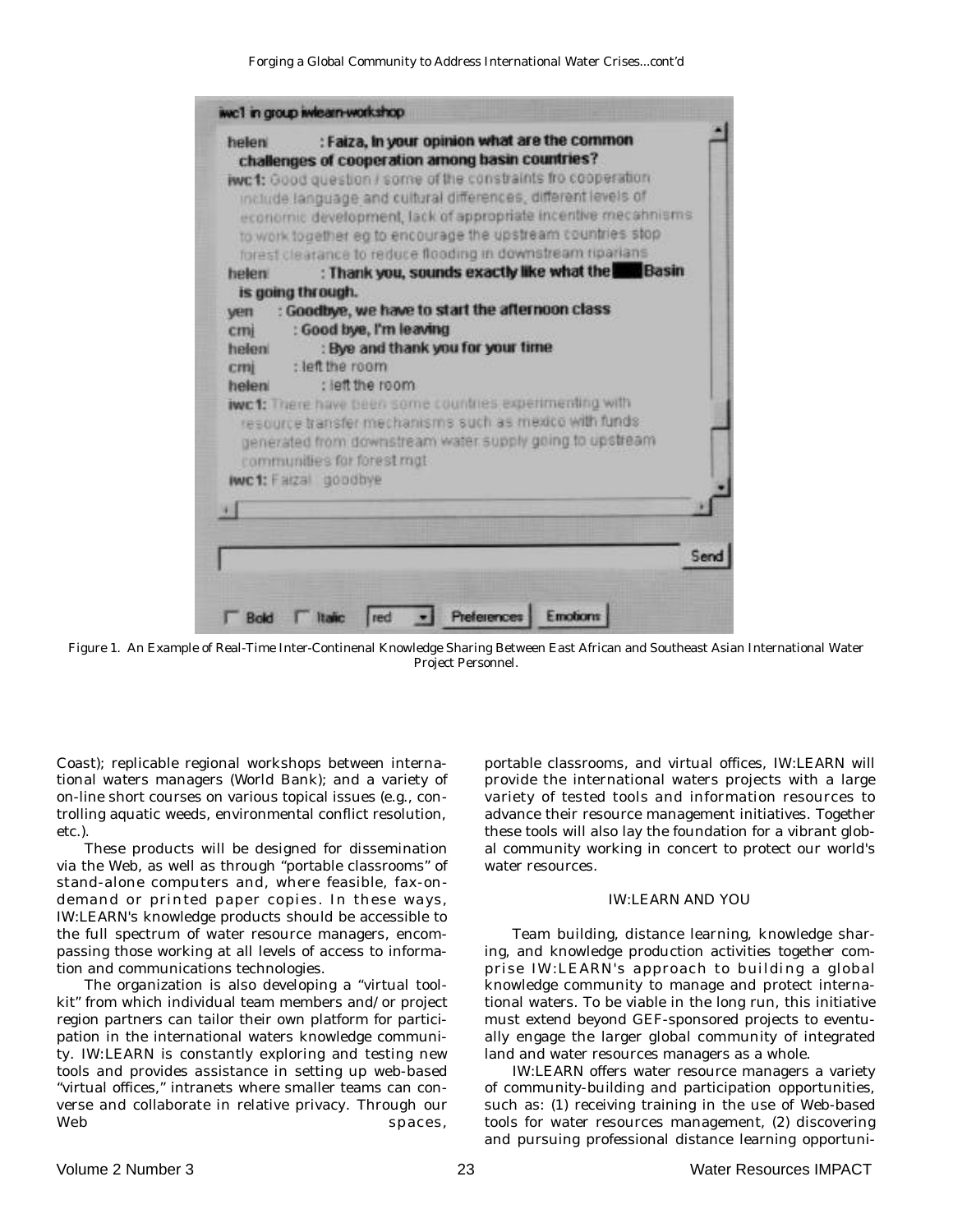#### Forging a Global Community to Address International Water Crises...cont'd



Figure 1. An Example of Real-Time Inter-Continenal Knowledge Sharing Between East African and Southeast Asian International Water Project Personnel.

Coast); replicable regional workshops between international waters managers (World Bank); and a variety of on-line short courses on various topical issues (e.g., controlling aquatic weeds, environmental conflict resolution, etc.).

These products will be designed for dissemination via the Web, as well as through "portable classrooms" of stand-alone computers and, where feasible, fax-ondemand or printed paper copies. In these ways, IW:LEARN's knowledge products should be accessible to the full spectrum of water resource managers, encompassing those working at all levels of access to information and communications technologies.

The organization is also developing a "virtual toolkit" from which individual team members and/or project region partners can tailor their own platform for participation in the international waters knowledge community. IW:LEARN is constantly exploring and testing new tools and provides assistance in setting up web-based "virtual offices," intranets where smaller teams can converse and collaborate in relative privacy. Through our Web spaces,

portable classrooms, and virtual offices, IW:LEARN will provide the international waters projects with a large variety of tested tools and information resources to advance their resource management initiatives. Together these tools will also lay the foundation for a vibrant global community working in concert to protect our world's water resources.

# IW:LEARN AND YOU

Team building, distance learning, knowledge sharing, and knowledge production activities together comprise IW:LEARN's approach to building a global knowledge community to manage and protect international waters. To be viable in the long run, this initiative must extend beyond GEF-sponsored projects to eventually engage the larger global community of integrated land and water resources managers as a whole.

IW:LEARN offers water resource managers a variety of community-building and participation opportunities, such as: (1) receiving training in the use of Web-based tools for water resources management, (2) discovering and pursuing professional distance learning opportuni-